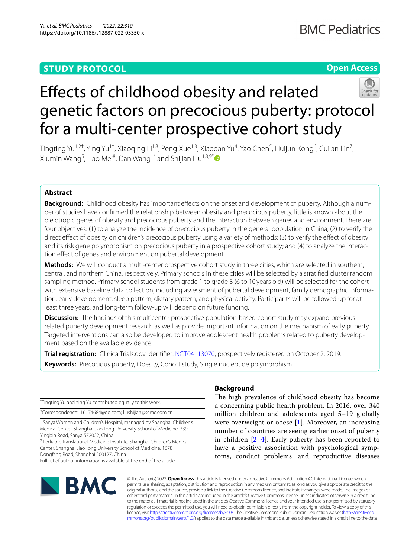# **STUDY PROTOCOL**

# **Open Access**



# Efects of childhood obesity and related genetic factors on precocious puberty: protocol for a multi-center prospective cohort study

Tingting Yu<sup>1,2†</sup>, Ying Yu<sup>1†</sup>, Xiaoqing Li<sup>1,3</sup>, Peng Xue<sup>1,3</sup>, Xiaodan Yu<sup>4</sup>, Yao Chen<sup>5</sup>, Huijun Kong<sup>6</sup>, Cuilan Lin<sup>7</sup>, Xiumin Wang<sup>5</sup>, Hao Mei<sup>8</sup>, Dan Wang<sup>1\*</sup> and Shijian Liu<sup>1,3,9\*</sup>

### **Abstract**

**Background:** Childhood obesity has important effects on the onset and development of puberty. Although a number of studies have confrmed the relationship between obesity and precocious puberty, little is known about the pleiotropic genes of obesity and precocious puberty and the interaction between genes and environment. There are four objectives: (1) to analyze the incidence of precocious puberty in the general population in China; (2) to verify the direct effect of obesity on children's precocious puberty using a variety of methods; (3) to verify the effect of obesity and its risk gene polymorphism on precocious puberty in a prospective cohort study; and (4) to analyze the interaction effect of genes and environment on pubertal development.

**Methods:** We will conduct a multi-center prospective cohort study in three cities, which are selected in southern, central, and northern China, respectively. Primary schools in these cities will be selected by a stratifed cluster random sampling method. Primary school students from grade 1 to grade 3 (6 to 10 years old) will be selected for the cohort with extensive baseline data collection, including assessment of pubertal development, family demographic information, early development, sleep pattern, dietary pattern, and physical activity. Participants will be followed up for at least three years, and long-term follow-up will depend on future funding.

**Discussion:** The findings of this multicenter prospective population-based cohort study may expand previous related puberty development research as well as provide important information on the mechanism of early puberty. Targeted interventions can also be developed to improve adolescent health problems related to puberty development based on the available evidence.

**Trial registration:** ClinicalTrials.gov Identifer: [NCT04113070,](https://www.clinicaltrials.gov/ct2/show/NCT04113070) prospectively registered on October 2, 2019. **Keywords:** Precocious puberty, Obesity, Cohort study, Single nucleotide polymorphism

† Tingting Yu and Ying Yu contributed equally to this work.

\*Correspondence: 16174684@qq.com; liushijian@scmc.com.cn

<sup>1</sup> Sanya Women and Children's Hospital, managed by Shanghai Children's Medical Center, Shanghai Jiao Tong University School of Medicine, 339 Yingbin Road, Sanya 572022, China

<sup>9</sup> Pediatric Translational Medicine Institute, Shanghai Children's Medical Center, Shanghai Jiao Tong University School of Medicine, 1678 Dongfang Road, Shanghai 200127, China

Full list of author information is available at the end of the article

# **BMC**

## **Background**

The high prevalence of childhood obesity has become a concerning public health problem. In 2016, over 340 million children and adolescents aged 5–19 globally were overweight or obese [\[1](#page-6-0)]. Moreover, an increasing number of countries are seeing earlier onset of puberty in children  $[2-4]$  $[2-4]$ . Early puberty has been reported to have a positive association with psychological symptoms, conduct problems, and reproductive diseases

© The Author(s) 2022. **Open Access** This article is licensed under a Creative Commons Attribution 4.0 International License, which permits use, sharing, adaptation, distribution and reproduction in any medium or format, as long as you give appropriate credit to the original author(s) and the source, provide a link to the Creative Commons licence, and indicate if changes were made. The images or other third party material in this article are included in the article's Creative Commons licence, unless indicated otherwise in a credit line to the material. If material is not included in the article's Creative Commons licence and your intended use is not permitted by statutory regulation or exceeds the permitted use, you will need to obtain permission directly from the copyright holder. To view a copy of this licence, visit [http://creativecommons.org/licenses/by/4.0/.](http://creativecommons.org/licenses/by/4.0/) The Creative Commons Public Domain Dedication waiver ([http://creativeco](http://creativecommons.org/publicdomain/zero/1.0/) [mmons.org/publicdomain/zero/1.0/](http://creativecommons.org/publicdomain/zero/1.0/)) applies to the data made available in this article, unless otherwise stated in a credit line to the data.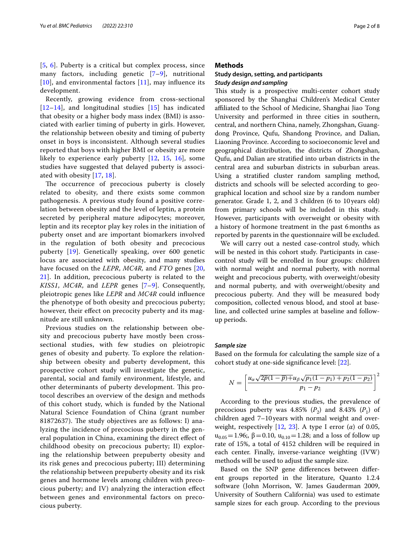[[5](#page-6-3), [6](#page-6-4)]. Puberty is a critical but complex process, since many factors, including genetic  $[7-9]$  $[7-9]$ , nutritional  $[10]$  $[10]$  $[10]$ , and environmental factors  $[11]$  $[11]$ , may influence its development.

Recently, growing evidence from cross-sectional [[12](#page-6-9)[–14](#page-6-10)], and longitudinal studies [[15](#page-6-11)] has indicated that obesity or a higher body mass index (BMI) is associated with earlier timing of puberty in girls. However, the relationship between obesity and timing of puberty onset in boys is inconsistent. Although several studies reported that boys with higher BMI or obesity are more likely to experience early puberty [\[12,](#page-6-9) [15,](#page-6-11) [16](#page-6-12)], some studies have suggested that delayed puberty is associated with obesity [\[17](#page-6-13), [18](#page-6-14)].

The occurrence of precocious puberty is closely related to obesity, and there exists some common pathogenesis. A previous study found a positive correlation between obesity and the level of leptin, a protein secreted by peripheral mature adipocytes; moreover, leptin and its receptor play key roles in the initiation of puberty onset and are important biomarkers involved in the regulation of both obesity and precocious puberty [[19](#page-6-15)]. Genetically speaking, over 600 genetic locus are associated with obesity, and many studies have focused on the *LEPR*, *MC4R,* and *FTO* genes [\[20](#page-6-16), [21\]](#page-6-17). In addition, precocious puberty is related to the *KISS1*, *MC4R*, and *LEPR* genes [[7](#page-6-5)[–9](#page-6-6)]. Consequently, pleiotropic genes like *LEPR* and *MC4R* could infuence the phenotype of both obesity and precocious puberty; however, their effect on precocity puberty and its magnitude are still unknown.

Previous studies on the relationship between obesity and precocious puberty have mostly been crosssectional studies, with few studies on pleiotropic genes of obesity and puberty. To explore the relationship between obesity and puberty development, this prospective cohort study will investigate the genetic, parental, social and family environment, lifestyle, and other determinants of puberty development. This protocol describes an overview of the design and methods of this cohort study, which is funded by the National Natural Science Foundation of China (grant number 81872637). The study objectives are as follows: I) analyzing the incidence of precocious puberty in the general population in China, examining the direct efect of childhood obesity on precocious puberty; II) exploring the relationship between prepuberty obesity and its risk genes and precocious puberty; III) determining the relationship between prepuberty obesity and its risk genes and hormone levels among children with precocious puberty; and IV) analyzing the interaction efect between genes and environmental factors on precocious puberty.

#### **Methods**

#### **Study design, setting, and participants** *Study design and sampling*

This study is a prospective multi-center cohort study sponsored by the Shanghai Children's Medical Center afliated to the School of Medicine, Shanghai Jiao Tong University and performed in three cities in southern, central, and northern China, namely, Zhongshan, Guangdong Province, Qufu, Shandong Province, and Dalian, Liaoning Province. According to socioeconomic level and geographical distribution, the districts of Zhongshan, Qufu, and Dalian are stratifed into urban districts in the central area and suburban districts in suburban areas. Using a stratifed cluster random sampling method, districts and schools will be selected according to geographical location and school size by a random number generator. Grade 1, 2, and 3 children (6 to 10 years old) from primary schools will be included in this study. However, participants with overweight or obesity with a history of hormone treatment in the past 6months as reported by parents in the questionnaire will be excluded.

We will carry out a nested case-control study, which will be nested in this cohort study. Participants in casecontrol study will be enrolled in four groups: children with normal weight and normal puberty, with normal weight and precocious puberty, with overweight/obesity and normal puberty, and with overweight/obesity and precocious puberty. And they will be measured body composition, collected venous blood, and stool at baseline, and collected urine samples at baseline and followup periods.

#### *Sample size*

Based on the formula for calculating the sample size of a cohort study at one-side signifcance level: [\[22](#page-6-18)].

$$
N = \left[\frac{u_{\alpha}\sqrt{2p(1-p)} + u_{\beta}\sqrt{p_1(1-p_1) + p_2(1-p_2)}}{p_1 - p_2}\right]^2
$$

According to the previous studies, the prevalence of precocious puberty was 4.85%  $(P_2)$  and 8.43%  $(P_1)$  of children aged 7–10years with normal weight and overweight, respectively [\[12](#page-6-9), [23](#page-6-19)]. A type I error (*α*) of 0.05,  $u_{0.05} = 1.96$ ;,  $\beta = 0.10$ ,  $u_{0.10} = 1.28$ ; and a loss of follow up rate of 15%, a total of 4152 children will be required in each center. Finally, inverse-variance weighting (IVW) methods will be used to adjust the sample size.

Based on the SNP gene diferences between diferent groups reported in the literature, Quanto 1.2.4 software (John Morrison, W. James Gauderman 2009, University of Southern California) was used to estimate sample sizes for each group. According to the previous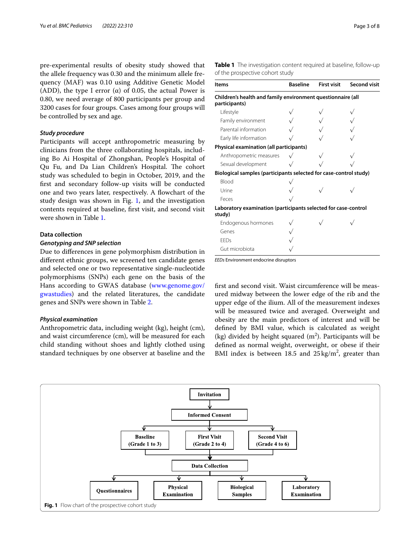pre-experimental results of obesity study showed that the allele frequency was 0.30 and the minimum allele frequency (MAF) was 0.10 using Additive Genetic Model (ADD), the type I error ( $\alpha$ ) of 0.05, the actual Power is 0.80, we need average of 800 participants per group and 3200 cases for four groups. Cases among four groups will be controlled by sex and age.

#### *Study procedure*

Participants will accept anthropometric measuring by clinicians from the three collaborating hospitals, including Bo Ai Hospital of Zhongshan, People's Hospital of Qu Fu, and Da Lian Children's Hospital. The cohort study was scheduled to begin in October, 2019, and the frst and secondary follow-up visits will be conducted one and two years later, respectively. A fowchart of the study design was shown in Fig. [1,](#page-2-0) and the investigation contents required at baseline, frst visit, and second visit were shown in Table [1](#page-2-1).

#### **Data collection**

#### *Genotyping and SNP selection*

Due to diferences in gene polymorphism distribution in diferent ethnic groups, we screened ten candidate genes and selected one or two representative single-nucleotide polymorphisms (SNPs) each gene on the basis of the Hans according to GWAS database ([www.genome.gov/](http://www.genome.gov/gwastudies) [gwastudies\)](http://www.genome.gov/gwastudies) and the related literatures, the candidate genes and SNPs were shown in Table [2](#page-3-0).

#### *Physical examination*

Anthropometric data, including weight (kg), height (cm), and waist circumference (cm), will be measured for each child standing without shoes and lightly clothed using standard techniques by one observer at baseline and the <span id="page-2-1"></span>**Table 1** The investigation content required at baseline, follow-up of the prospective cohort study

| <b>Items</b>                                                                 | <b>Baseline</b> | <b>First visit</b> | <b>Second visit</b> |
|------------------------------------------------------------------------------|-----------------|--------------------|---------------------|
| Children's health and family environment questionnaire (all<br>participants) |                 |                    |                     |
| Lifestyle                                                                    |                 |                    |                     |
| Family environment                                                           |                 |                    |                     |
| Parental information                                                         |                 |                    |                     |
| Early life information                                                       |                 |                    |                     |
| Physical examination (all participants)                                      |                 |                    |                     |
| Anthropometric measures                                                      |                 |                    |                     |
| Sexual development                                                           |                 |                    |                     |
| Biological samples (participants selected for case-control study)            |                 |                    |                     |
| <b>Blood</b>                                                                 |                 |                    |                     |
| Urine                                                                        |                 |                    |                     |
| Feces                                                                        |                 |                    |                     |
| Laboratory examination (participants selected for case-control<br>study)     |                 |                    |                     |
| Endogenous hormones                                                          |                 |                    |                     |
| Genes                                                                        |                 |                    |                     |
| <b>EEDs</b>                                                                  |                 |                    |                     |
| Gut microbiota                                                               |                 |                    |                     |

*EEDs* Environment endocrine disruptors

frst and second visit. Waist circumference will be measured midway between the lower edge of the rib and the upper edge of the ilium. All of the measurement indexes will be measured twice and averaged. Overweight and obesity are the main predictors of interest and will be defned by BMI value, which is calculated as weight (kg) divided by height squared  $(m^2)$ . Participants will be defned as normal weight, overweight, or obese if their BMI index is between 18.5 and  $25 \text{ kg/m}^2$ , greater than

<span id="page-2-0"></span>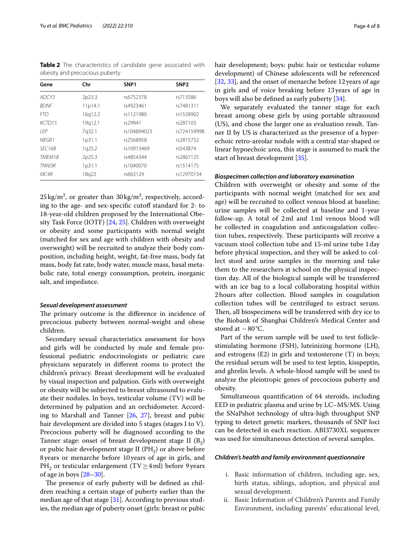<span id="page-3-0"></span>**Table 2** The characteristics of candidate gene associated with obesity and precocious puberty

| Gene               | Chr     | SNP <sub>1</sub> | SNP <sub>2</sub> |
|--------------------|---------|------------------|------------------|
| ADCY3              | 2p23.3  | rs6752378        | rs713586         |
| <b>BDNF</b>        | 11p14.1 | rs4923461        | rs7481311        |
| <b>FTO</b>         | 16q12.2 | rs1121980        | rs1558902        |
| KCTD15             | 19q12.1 | rs29941          | rs287103         |
| I FP               | 7g32.1  | rs104894023      | rs724159998      |
| NFGR1              | 1p31.1  | rs2568958        | rs2815752        |
| SFC <sub>16B</sub> | 1q25.2  | rs10913469       | rs543874         |
| TMFM18             | 2p25.3  | rs4854344        | rs2867125        |
| TNNI3K             | 1p31.1  | rs1040070        | rs1514175        |
| MC4R               | 18q22   | rs663129         | rs12970134       |

 $25\,\mathrm{kg/m^2}$ , or greater than  $30\,\mathrm{kg/m^2}$ , respectively, according to the age- and sex-specifc cutof standard for 2- to 18-year-old children proposed by the International Obesity Task Force (IOTF) [[24,](#page-6-20) [25](#page-6-21)]. Children with overweight or obesity and some participants with normal weight (matched for sex and age with children with obesity and overweight) will be recruited to analyze their body composition, including height, weight, fat-free mass, body fat mass, body fat rate, body water, muscle mass, basal metabolic rate, total energy consumption, protein, inorganic salt, and impedance.

#### *Sexual development assessment*

The primary outcome is the difference in incidence of precocious puberty between normal-weight and obese children.

Secondary sexual characteristics assessment for boys and girls will be conducted by male and female professional pediatric endocrinologists or pediatric care physicians separately in diferent rooms to protect the children's privacy. Breast development will be evaluated by visual inspection and palpation. Girls with overweight or obesity will be subjected to breast ultrasound to evaluate their nodules. In boys, testicular volume (TV) will be determined by palpation and an orchidometer. According to Marshall and Tanner [[26,](#page-6-22) [27](#page-6-23)], breast and pubic hair development are divided into 5 stages (stages I to V). Precocious puberty will be diagnosed according to the Tanner stage: onset of breast development stage II  $(B_2)$ or pubic hair development stage II ( $PH<sub>2</sub>$ ) or above before 8years or menarche before 10 years of age in girls, and PH<sub>2</sub> or testicular enlargement (TV $\geq$ 4ml) before 9 years of age in boys [[28](#page-6-24)[–30](#page-6-25)].

The presence of early puberty will be defined as children reaching a certain stage of puberty earlier than the median age of that stage  $[31]$  $[31]$ . According to previous studies, the median age of puberty onset (girls: breast or pubic hair development; boys: pubic hair or testicular volume development) of Chinese adolescents will be referenced [[32,](#page-6-27) [33](#page-6-28)], and the onset of menarche before 12 years of age in girls and of voice breaking before 13years of age in boys will also be defned as early puberty [\[34](#page-6-29)].

We separately evaluated the tanner stage for each breast among obese girls by using portable ultrasound (US), and chose the larger one as evaluation result. Tanner II by US is characterized as the presence of a hyperechoic retro-areolar nodule with a central star-shaped or linear hypoechoic area, this stage is assumed to mark the start of breast development [\[35\]](#page-6-30).

#### *Biospecimen collection and laboratory examination*

Children with overweight or obesity and some of the participants with normal weight (matched for sex and age) will be recruited to collect venous blood at baseline; urine samples will be collected at baseline and 1-year follow-up. A total of 2ml and 1ml venous blood will be collected in coagulation and anticoagulation collection tubes, respectively. These participants will receive a vacuum stool collection tube and 15-ml urine tube 1day before physical inspection, and they will be asked to collect stool and urine samples in the morning and take them to the researchers at school on the physical inspection day. All of the biological sample will be transferred with an ice bag to a local collaborating hospital within 2hours after collection. Blood samples in coagulation collection tubes will be centrifuged to extract serum. Then, all biospecimens will be transferred with dry ice to the Biobank of Shanghai Children's Medical Center and stored at  $-80^{\circ}$ C.

Part of the serum sample will be used to test folliclestimulating hormone (FSH), luteinizing hormone (LH), and estrogens (E2) in girls and testosterone (T) in boys; the residual serum will be used to test leptin, kisspeptin, and ghrelin levels. A whole-blood sample will be used to analyze the pleiotropic genes of precocious puberty and obesity.

Simultaneous quantifcation of 64 steroids, including EED in pediatric plasma and urine by LC–MS/MS. Using the SNaPshot technology of ultra-high throughput SNP typing to detect genetic markers, thousands of SNP loci can be detected in each reaction. ABI3730XL sequencer was used for simultaneous detection of several samples.

#### *Children's health and family environment questionnaire*

- i. Basic information of children, including age, sex, birth status, siblings, adoption, and physical and sexual development.
- ii. Basic Information of Children's Parents and Family Environment, including parents' educational level,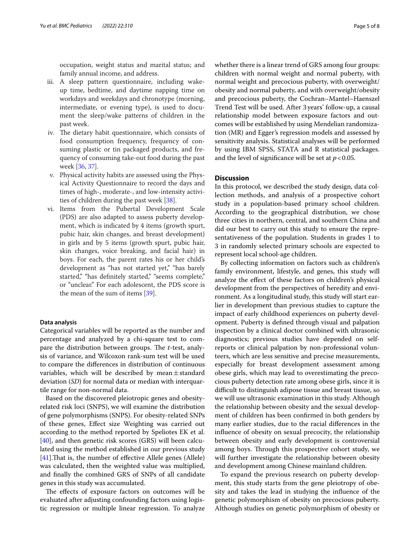occupation, weight status and marital status; and family annual income, and address.

- iii. A sleep pattern questionnaire, including wakeup time, bedtime, and daytime napping time on workdays and weekdays and chronotype (morning, intermediate, or evening type), is used to document the sleep/wake patterns of children in the past week.
- iv. The dietary habit questionnaire, which consists of food consumption frequency, frequency of consuming plastic or tin packaged products, and frequency of consuming take-out food during the past week [[36](#page-6-31), [37](#page-6-32)].
- v. Physical activity habits are assessed using the Physical Activity Questionnaire to record the days and times of high-, moderate-, and low-intensity activities of children during the past week [[38](#page-6-33)].
- vi. Items from the Pubertal Development Scale (PDS) are also adapted to assess puberty development, which is indicated by 4 items (growth spurt, pubic hair, skin changes, and breast development) in girls and by 5 items (growth spurt, pubic hair, skin changes, voice breaking, and facial hair) in boys. For each, the parent rates his or her child's development as "has not started yet," "has barely started," "has definitely started," "seems complete," or "unclear." For each adolescent, the PDS score is the mean of the sum of items [[39\]](#page-6-34).

#### **Data analysis**

Categorical variables will be reported as the number and percentage and analyzed by a chi-square test to compare the distribution between groups. The *t*-test, analysis of variance, and Wilcoxon rank-sum test will be used to compare the diferences in distribution of continuous variables, which will be described by mean $\pm$ standard deviation (*SD*) for normal data or median with interquartile range for non-normal data.

Based on the discovered pleiotropic genes and obesityrelated risk loci (SNPS), we will examine the distribution of gene polymorphisms (SNPS). For obesity-related SNPs of these genes, Efect size Weighting was carried out according to the method reported by Speliotes EK et al. [[40\]](#page-7-0), and then genetic risk scores (GRS) will been calculated using the method established in our previous study [[41\]](#page-7-1). That is, the number of effective Allele genes (Allele) was calculated, then the weighted value was multiplied, and fnally the combined GRS of SNPs of all candidate genes in this study was accumulated.

The effects of exposure factors on outcomes will be evaluated after adjusting confounding factors using logistic regression or multiple linear regression. To analyze whether there is a linear trend of GRS among four groups: children with normal weight and normal puberty, with normal weight and precocious puberty, with overweight/ obesity and normal puberty, and with overweight/obesity and precocious puberty, the Cochran–Mantel–Haenszel Trend Test will be used. After 3 years' follow-up, a causal relationship model between exposure factors and outcomes will be established by using Mendelian randomization (MR) and Egger's regression models and assessed by sensitivity analysis. Statistical analyses will be performed by using IBM SPSS, STATA and R statistical packages. and the level of significance will be set at  $p < 0.05$ .

#### **Discussion**

In this protocol, we described the study design, data collection methods, and analysis of a prospective cohort study in a population-based primary school children. According to the geographical distribution, we chose three cities in northern, central, and southern China and did our best to carry out this study to ensure the representativeness of the population. Students in grades 1 to 3 in randomly selected primary schools are expected to represent local school-age children.

By collecting information on factors such as children's family environment, lifestyle, and genes, this study will analyze the efect of these factors on children's physical development from the perspectives of heredity and environment. As a longitudinal study, this study will start earlier in development than previous studies to capture the impact of early childhood experiences on puberty development. Puberty is defned through visual and palpation inspection by a clinical doctor combined with ultrasonic diagnostics; previous studies have depended on selfreports or clinical palpation by non-professional volunteers, which are less sensitive and precise measurements, especially for breast development assessment among obese girls, which may lead to overestimating the precocious puberty detection rate among obese girls, since it is difcult to distinguish adipose tissue and breast tissue, so we will use ultrasonic examination in this study. Although the relationship between obesity and the sexual development of children has been confrmed in both genders by many earlier studies, due to the racial diferences in the infuence of obesity on sexual precocity, the relationship between obesity and early development is controversial among boys. Through this prospective cohort study, we will further investigate the relationship between obesity and development among Chinese mainland children.

To expand the previous research on puberty development, this study starts from the gene pleiotropy of obesity and takes the lead in studying the infuence of the genetic polymorphism of obesity on precocious puberty. Although studies on genetic polymorphism of obesity or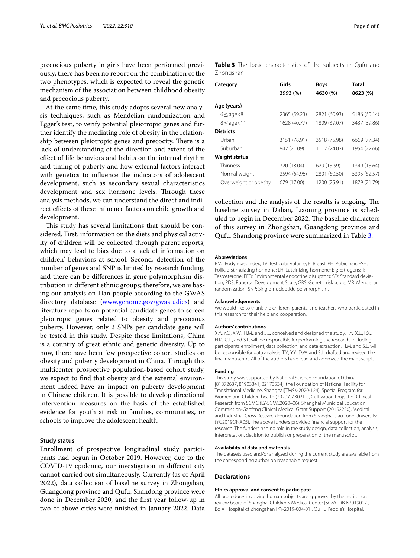precocious puberty in girls have been performed previously, there has been no report on the combination of the two phenotypes, which is expected to reveal the genetic mechanism of the association between childhood obesity and precocious puberty.

At the same time, this study adopts several new analysis techniques, such as Mendelian randomization and Egger's test, to verify potential pleiotropic genes and further identify the mediating role of obesity in the relationship between pleiotropic genes and precocity. There is a lack of understanding of the direction and extent of the efect of life behaviors and habits on the internal rhythm and timing of puberty and how external factors interact with genetics to infuence the indicators of adolescent development, such as secondary sexual characteristics development and sex hormone levels. Through these analysis methods, we can understand the direct and indirect efects of these infuence factors on child growth and development.

This study has several limitations that should be considered. First, information on the diets and physical activity of children will be collected through parent reports, which may lead to bias due to a lack of information on children' behaviors at school. Second, detection of the number of genes and SNP is limited by research funding, and there can be diferences in gene polymorphism distribution in diferent ethnic groups; therefore, we are basing our analysis on Han people according to the GWAS directory database [\(www.genome.gov/gwastudies\)](http://www.genome.gov/gwastudies) and literature reports on potential candidate genes to screen pleiotropic genes related to obesity and precocious puberty. However, only 2 SNPs per candidate gene will be tested in this study. Despite these limitations, China is a country of great ethnic and genetic diversity. Up to now, there have been few prospective cohort studies on obesity and puberty development in China. Through this multicenter prospective population-based cohort study, we expect to fnd that obesity and the external environment indeed have an impact on puberty development in Chinese children. It is possible to develop directional intervention measures on the basis of the established evidence for youth at risk in families, communities, or schools to improve the adolescent health.

#### **Study status**

Enrollment of prospective longitudinal study participants had begun in October 2019. However, due to the COVID-19 epidemic, our investigation in diferent city cannot carried out simultaneously. Currently (as of April 2022), data collection of baseline survey in Zhongshan, Guangdong province and Qufu, Shandong province were done in December 2020, and the frst year follow-up in two of above cities were fnished in January 2022. Data

<span id="page-5-0"></span>

|           |  | Table 3 The basic characteristics of the subjects in Qufu and |  |  |  |
|-----------|--|---------------------------------------------------------------|--|--|--|
| Zhongshan |  |                                                               |  |  |  |

| Category              | Girls        | <b>Boys</b>  | Total        |
|-----------------------|--------------|--------------|--------------|
|                       | 3993 (%)     | 4630 (%)     | 8623 (%)     |
| Age (years)           |              |              |              |
| $6 \leq$ age $< 8$    | 2365 (59.23) | 2821 (60.93) | 5186 (60.14) |
| $8 \leq$ age $<$ 11   | 1628 (40.77) | 1809 (39.07) | 3437 (39.86) |
| <b>Districts</b>      |              |              |              |
| Urban                 | 3151 (78.91) | 3518 (75.98) | 6669 (77.34) |
| Suburban              | 842 (21.09)  | 1112 (24.02) | 1954 (22.66) |
| <b>Weight status</b>  |              |              |              |
| Thinness              | 720 (18.04)  | 629 (13.59)  | 1349 (15.64) |
| Normal weight         | 2594 (64.96) | 2801 (60.50) | 5395 (62.57) |
| Overweight or obesity | 679 (17.00)  | 1200 (25.91) | 1879 (21.79) |
|                       |              |              |              |

collection and the analysis of the results is ongoing. The baseline survey in Dalian, Liaoning province is scheduled to begin in December 2022. The baseline characters of this survey in Zhongshan, Guangdong province and Qufu, Shandong province were summarized in Table [3.](#page-5-0)

#### **Abbreviations**

BMI: Body mass index; TV: Testicular volume; B: Breast; PH: Pubic hair; FSH: Follicle-stimulating hormone; LH: Luteinizing hormone; E <sub>2</sub>: Estrogens; T: Testosterone; EED: Environmental endocrine disruptors; SD: Standard deviation; PDS: Pubertal Development Scale; GRS: Genetic risk score; MR: Mendelian randomization; SNP: Single-nucleotide polymorphism.

#### **Acknowledgements**

We would like to thank the children, parents, and teachers who participated in this research for their help and cooperation.

#### **Authors' contributions**

X.Y., Y.C., X.W., H.M., and S.L. conceived and designed the study. T.Y., X.L., P.X., H.K., C.L., and S.L. will be responsible for performing the research, including participants enrollment, data collection, and data extraction. H.M. and S.L. will be responsible for data analysis. T.Y., Y.Y., D.W. and S.L. drafted and revised the fnal manuscript. All of the authors have read and approved the manuscript.

#### **Funding**

This study was supported by National Science Foundation of China [81872637, 81903341, 82173534], the Foundation of National Facility for Translational Medicine, Shanghai[TMSK-2020-124], Special Program for Women and Children health (2020YJZX0212), Cultivation Project of Clinical Research from SCMC (LY-SCMC2020–06), Shanghai Municipal Education Commission-Gaofeng Clinical Medical Grant Support (20152220), Medical and Industrial Cross Research Foundation from Shanghai Jiao Tong University (YG2019QNA05). The above funders provided fnancial support for the research. The funders had no role in the study design, data collection, analysis, interpretation, decision to publish or preparation of the manuscript.

#### **Availability of data and materials**

The datasets used and/or analyzed during the current study are available from the corresponding author on reasonable request.

#### **Declarations**

#### **Ethics approval and consent to participate**

All procedures involving human subjects are approved by the institution review board of Shanghai Children's Medical Center [SCMCIRB-K2019007], Bo Ai Hospital of Zhongshan [KY-2019-004-01], Qu Fu People's Hospital.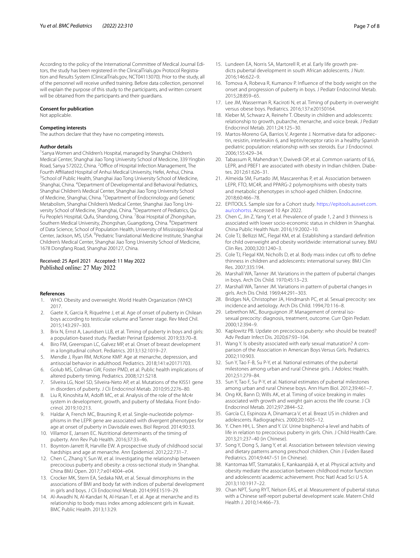According to the policy of the International Committee of Medical Journal Editors, the study has been registered in the ClinicalTrials.gov Protocol Registration and Results System (ClinicalTrials.gov, NCT04113070). Prior to the study, all of the personnel will receive unifed training. Before data collection, personnel will explain the purpose of this study to the participants, and written consent will be obtained from the participants and their guardians.

#### **Consent for publication**

Not applicable.

#### **Competing interests**

The authors declare that they have no competing interests.

#### **Author details**

<sup>1</sup> Sanya Women and Children's Hospital, managed by Shanghai Children's Medical Center, Shanghai Jiao Tong University School of Medicine, 339 Yingbin Road, Sanya 572022, China. <sup>2</sup> Office of Hospital Infection Management, The Fourth Affiliated Hospital of Anhui Medical University, Hefei, Anhui, China. <sup>3</sup> School of Public Health, Shanghai Jiao Tong University School of Medicine, Shanghai, China. <sup>4</sup> Department of Developmental and Behavioral Pediatrics, Shanghai Children's Medical Center, Shanghai Jiao Tong University School of Medicine, Shanghai, China. <sup>5</sup> Department of Endocrinology and Genetic Metabolism, Shanghai Children's Medical Center, Shanghai Jiao Tong University School of Medicine, Shanghai, China. <sup>6</sup>Department of Pediatrics, Qu Fu People's Hospital, Qufu, Shandong, China. <sup>7</sup> Boai Hospital of Zhongshan, Southern Medical University, Zhongshan, Guangdong, China. <sup>8</sup>Department of Data Science, School of Population Health, University of Mississippi Medical Center, Jackson, MS, USA. <sup>9</sup> Pediatric Translational Medicine Institute, Shanghai Children's Medical Center, Shanghai Jiao Tong University School of Medicine, 1678 Dongfang Road, Shanghai 200127, China.

#### Received: 25 April 2021 Accepted: 11 May 2022 Published online: 27 May 2022

#### **References**

- <span id="page-6-0"></span>1. WHO. Obesity and overweight. World Health Organization (WHO) 2017.
- <span id="page-6-1"></span>2. Gaete X, Garcia R, Riquelme J, et al. Age of onset of puberty in Chilean boys according to testicular volume and Tanner stage. Rev Med Chil. 2015;143:297–303.
- 3. Brix N, Ernst A, Lauridsen LLB, et al. Timing of puberty in boys and girls: a population-based study. Paediatr Perinat Epidemiol. 2019;33:70–8.
- <span id="page-6-2"></span>4. Biro FM, Greenspan LC, Galvez MP, et al. Onset of breast development in a longitudinal cohort. Pediatrics. 2013;132:1019–27.
- <span id="page-6-3"></span>5. Mendle J, Ryan RM, McKone KMP. Age at menarche, depression, and antisocial behavior in adulthood. Pediatrics. 2018;141:e20171703.
- <span id="page-6-4"></span>6. Golub MS, Collman GW, Foster PMD, et al. Public health implications of altered puberty timing. Pediatrics. 2008;121:S218.
- <span id="page-6-5"></span>7. Silveira LG, Noel SD, Silveira-Neto AP, et al. Mutations of the KISS1 gene in disorders of puberty. J Cli Endocrinol Metab. 2010;95:2276–80.
- 8. Liu R, Kinoshita M, Adolf MC, et al. Analysis of the role of the Mc4r system in development, growth, and puberty of Medaka. Front Endocrinol. 2019;10:213.
- <span id="page-6-6"></span>9. Haldar A, French MC, Brauning R, et al. Single-nucleotide polymorphisms in the LEPR gene are associated with divergent phenotypes for age at onset of puberty in Davisdale ewes. Biol Reprod. 2014;90:33.
- <span id="page-6-7"></span>10. Villamor E, Jansen EC. Nutritional determinants of the timing of puberty. Ann Rev Pub Health. 2016;37:33–46.
- <span id="page-6-8"></span>11. Boynton-Jarrett R, Harville EW. A prospective study of childhood social hardships and age at menarche. Ann Epidemiol. 2012;22:731–7.
- <span id="page-6-9"></span>12. Chen C, Zhang Y, Sun W, et al. Investigating the relationship between precocious puberty and obesity: a cross-sectional study in Shanghai. China BMJ Open. 2017;7:e014004–e04.
- 13. Crocker MK, Stern EA, Sedaka NM, et al. Sexual dimorphisms in the associations of BMI and body fat with indices of pubertal development in girls and boys. J Cli Endocrinol Metab. 2014;99:E1519–29.
- <span id="page-6-10"></span>14. Al-Awadhi N, Al-Kandari N, Al-Hasan T, et al. Age at menarche and its relationship to body mass index among adolescent girls in Kuwait. BMC Public Health. 2013;13:29.
- <span id="page-6-11"></span>15. Lundeen EA, Norris SA, Martorell R, et al. Early life growth predicts pubertal development in south African adolescents. J Nutr. 2016;146:622–9.
- <span id="page-6-12"></span>16. Tomova A, Robeva R, Kumanov P. Infuence of the body weight on the onset and progression of puberty in boys. J Pediatr Endocrinol Metab. 2015;28:859–65.
- <span id="page-6-13"></span>17. Lee JM, Wasserman R, Kaciroti N, et al. Timing of puberty in overweight versus obese boys. Pediatrics. 2016;137:e20150164.
- <span id="page-6-14"></span>18. Kleber M, Schwarz A, Reinehr T. Obesity in children and adolescents: relationship to growth, pubarche, menarche, and voice break. J Pediatr Endocrinol Metab. 2011;24:125–30.
- <span id="page-6-15"></span>19. Martos-Moreno GA, Barrios V, Argente J. Normative data for adiponectin, resistin, interleukin 6, and leptin/receptor ratio in a healthy Spanish pediatric population: relationship with sex steroids. Eur J Endocrinol. 2006;155:429–34.
- <span id="page-6-16"></span>20. Tabassum R, Mahendran Y, Dwivedi OP, et al. Common variants of IL6, LEPR, and PBEF1 are associated with obesity in Indian children. Diabetes. 2012;61:626–31.
- <span id="page-6-17"></span>21. Almeida SM, Furtado JM, Mascarenhas P, et al. Association between LEPR, FTO, MC4R, and PPARG-2 polymorphisms with obesity traits and metabolic phenotypes in school-aged children. Endocrine. 2018;60:466–78.
- <span id="page-6-18"></span>22. EPITOOLS. Sample size for a Cohort study. [https://epitools.ausvet.com.](https://epitools.ausvet.com.au/cohortss) [au/cohortss](https://epitools.ausvet.com.au/cohortss). Accessed 10 Apr 2022.
- <span id="page-6-19"></span>23. Chen C, Jin Z, Yang Y, et al. Prevalence of grade 1, 2 and 3 thinness is associated with lower socio-economic status in children in Shanghai. China Public Health Nutr. 2016;19:2002–10.
- <span id="page-6-20"></span>24. Cole TJ, Bellizzi MC, Flegal KM, et al. Establishing a standard defnition for child overweight and obesity worldwide: international survey. BMJ Clin Res. 2000;320:1240–3.
- <span id="page-6-21"></span>25. Cole TJ, Flegal KM, Nicholls D, et al. Body mass index cut offs to define thinness in children and adolescents: international survey. BMJ Clin Res. 2007;335:194.
- <span id="page-6-22"></span>26. Marshall WA, Tanner JM. Variations in the pattern of pubertal changes in boys. Arch Dis Child. 1970;45:13–23.
- <span id="page-6-23"></span>27. Marshall WA, Tanner JM. Variations in pattern of pubertal changes in girls. Arch Dis Child. 1969;44:291–303.
- <span id="page-6-24"></span>28. Bridges NA, Christopher JA, Hindmarsh PC, et al. Sexual precocity: sex incidence and aetiology. Arch Dis Child. 1994;70:116–8.
- 29. Lebrethon MC, Bourguignon JP. Management of central isosexual precocity: diagnosis, treatment, outcome. Curr Opin Pediatr. 2000;12:394–9.
- <span id="page-6-25"></span>30. Kaplowitz PB. Update on precocious puberty: who should be treated? Adv Pediatr Infect Dis. 2020;67:93–104.
- <span id="page-6-26"></span>31. Wang Y. Is obesity associated with early sexual maturation? A comparison of the Association in American Boys Versus Girls. Pediatrics. 2002;110:903.
- <span id="page-6-27"></span>32. Sun Y, Tao F-B, Su P-Y, et al. National estimates of the pubertal milestones among urban and rural Chinese girls. J Adolesc Health. 2012;51:279–84.
- <span id="page-6-28"></span>33. Sun Y, Tao F, Su P-Y, et al. National estimates of pubertal milestones among urban and rural Chinese boys. Ann Hum Biol. 2012;39:461–7.
- <span id="page-6-29"></span>34. Ong KK, Bann D, Wills AK, et al. Timing of voice breaking in males associated with growth and weight gain across the life course. J Cli Endocrinol Metab. 2012;97:2844–52.
- <span id="page-6-30"></span>35. García CJ, Espinoza A, Dinamarca V, et al. Breast US in children and adolescents. Radiographics. 2000;20:1605–12.
- <span id="page-6-31"></span>36. Y. Chen HH, L. Shen and Y. LV. Urine bisphenol-a level and habits of life in relation to precocious puberty in girls. Chin. J Child Health Care. 2013;21:237–40 (in Chinese).
- <span id="page-6-32"></span>37. Song Y, Dong S, Jiang Y, et al. Association between television viewing and dietary patterns among preschool children. Chin J Eviden Based Pediatrics. 2014;9:447–51 (in Chinese).
- <span id="page-6-33"></span>38. Kantomaa MT, Stamatakis E, Kankaanpää A, et al. Physical activity and obesity mediate the association between childhood motor function and adolescents' academic achievement. Proc Natl Acad Sci U S A. 2013;110:1917–22.
- <span id="page-6-34"></span>39. Chan NPT, Sung RYT, Nelson EAS, et al. Measurement of pubertal status with a Chinese self-report pubertal development scale. Matern Child Health J. 2010;14:466–73.